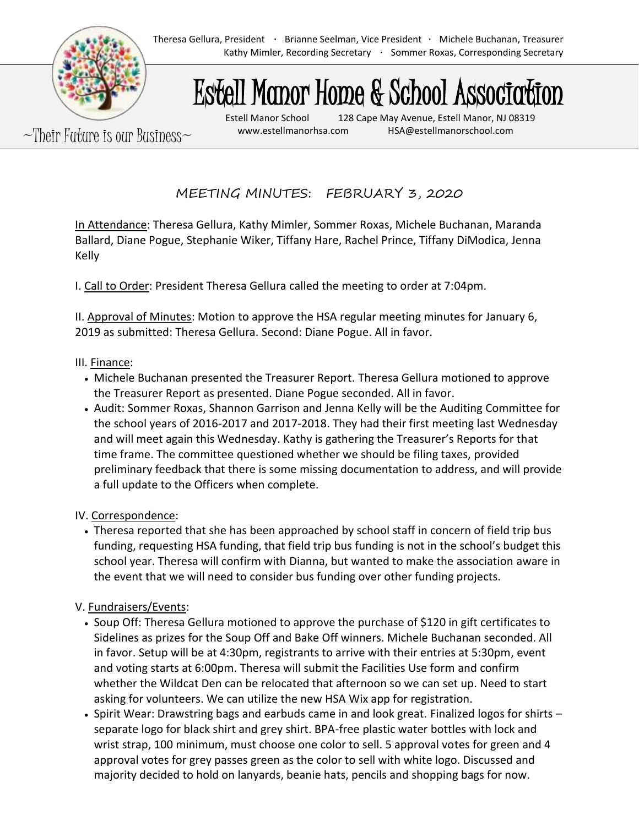

Theresa Gellura, President · Brianne Seelman, Vice President · Michele Buchanan, Treasurer Kathy Mimler, Recording Secretary · Sommer Roxas, Corresponding Secretary

# Estell Manor Home & School Association

 $\sim$ Their Future is our Business $\sim$  www.estellmanorhsa.com and HSA@estellmanorschool.com

Estell Manor School 128 Cape May Avenue, Estell Manor, NJ 08319

MEETING MINUTES: FEBRUARY 3, 2020

In Attendance: Theresa Gellura, Kathy Mimler, Sommer Roxas, Michele Buchanan, Maranda Ballard, Diane Pogue, Stephanie Wiker, Tiffany Hare, Rachel Prince, Tiffany DiModica, Jenna Kelly

I. Call to Order: President Theresa Gellura called the meeting to order at 7:04pm.

II. Approval of Minutes: Motion to approve the HSA regular meeting minutes for January 6, 2019 as submitted: Theresa Gellura. Second: Diane Pogue. All in favor.

### III. Finance:

- Michele Buchanan presented the Treasurer Report. Theresa Gellura motioned to approve the Treasurer Report as presented. Diane Pogue seconded. All in favor.
- Audit: Sommer Roxas, Shannon Garrison and Jenna Kelly will be the Auditing Committee for the school years of 2016-2017 and 2017-2018. They had their first meeting last Wednesday and will meet again this Wednesday. Kathy is gathering the Treasurer's Reports for that time frame. The committee questioned whether we should be filing taxes, provided preliminary feedback that there is some missing documentation to address, and will provide a full update to the Officers when complete.

### IV. Correspondence:

• Theresa reported that she has been approached by school staff in concern of field trip bus funding, requesting HSA funding, that field trip bus funding is not in the school's budget this school year. Theresa will confirm with Dianna, but wanted to make the association aware in the event that we will need to consider bus funding over other funding projects.

## V. Fundraisers/Events:

- Soup Off: Theresa Gellura motioned to approve the purchase of \$120 in gift certificates to Sidelines as prizes for the Soup Off and Bake Off winners. Michele Buchanan seconded. All in favor. Setup will be at 4:30pm, registrants to arrive with their entries at 5:30pm, event and voting starts at 6:00pm. Theresa will submit the Facilities Use form and confirm whether the Wildcat Den can be relocated that afternoon so we can set up. Need to start asking for volunteers. We can utilize the new HSA Wix app for registration.
- Spirit Wear: Drawstring bags and earbuds came in and look great. Finalized logos for shirts separate logo for black shirt and grey shirt. BPA-free plastic water bottles with lock and wrist strap, 100 minimum, must choose one color to sell. 5 approval votes for green and 4 approval votes for grey passes green as the color to sell with white logo. Discussed and majority decided to hold on lanyards, beanie hats, pencils and shopping bags for now.